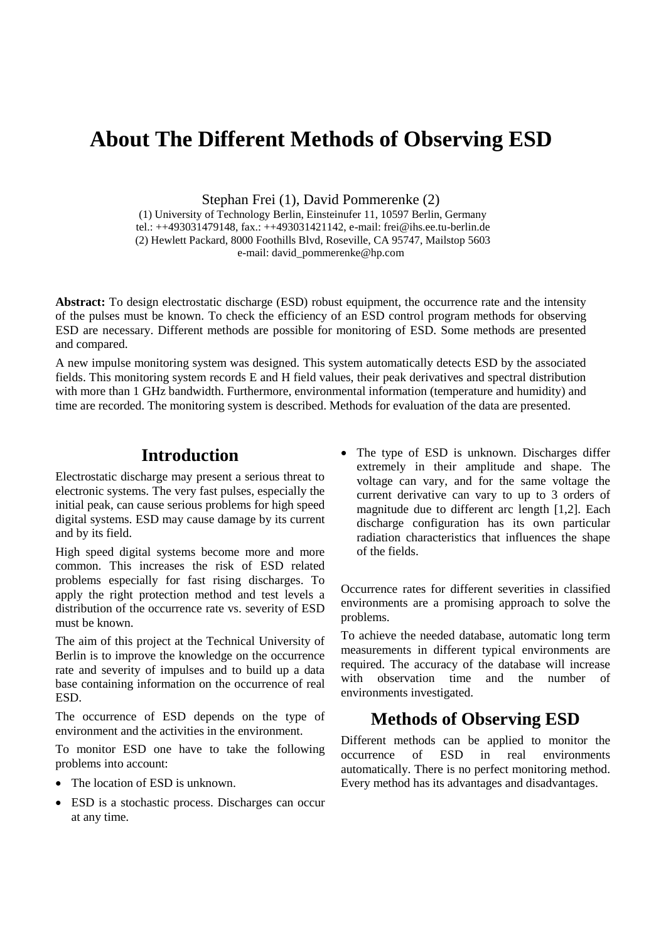# **About The Different Methods of Observing ESD**

Stephan Frei (1), David Pommerenke (2)

(1) University of Technology Berlin, Einsteinufer 11, 10597 Berlin, Germany tel.: ++493031479148, fax.: ++493031421142, e-mail: frei@ihs.ee.tu-berlin.de (2) Hewlett Packard, 8000 Foothills Blvd, Roseville, CA 95747, Mailstop 5603 e-mail: david\_pommerenke@hp.com

**Abstract:** To design electrostatic discharge (ESD) robust equipment, the occurrence rate and the intensity of the pulses must be known. To check the efficiency of an ESD control program methods for observing ESD are necessary. Different methods are possible for monitoring of ESD. Some methods are presented and compared.

A new impulse monitoring system was designed. This system automatically detects ESD by the associated fields. This monitoring system records E and H field values, their peak derivatives and spectral distribution with more than 1 GHz bandwidth. Furthermore, environmental information (temperature and humidity) and time are recorded. The monitoring system is described. Methods for evaluation of the data are presented.

### **Introduction**

Electrostatic discharge may present a serious threat to electronic systems. The very fast pulses, especially the initial peak, can cause serious problems for high speed digital systems. ESD may cause damage by its current and by its field.

High speed digital systems become more and more common. This increases the risk of ESD related problems especially for fast rising discharges. To apply the right protection method and test levels a distribution of the occurrence rate vs. severity of ESD must be known.

The aim of this project at the Technical University of Berlin is to improve the knowledge on the occurrence rate and severity of impulses and to build up a data base containing information on the occurrence of real ESD.

The occurrence of ESD depends on the type of environment and the activities in the environment.

To monitor ESD one have to take the following problems into account:

- The location of ESD is unknown.
- ESD is a stochastic process. Discharges can occur at any time.

• The type of ESD is unknown. Discharges differ extremely in their amplitude and shape. The voltage can vary, and for the same voltage the current derivative can vary to up to 3 orders of magnitude due to different arc length [1,2]. Each discharge configuration has its own particular radiation characteristics that influences the shape of the fields.

Occurrence rates for different severities in classified environments are a promising approach to solve the problems.

To achieve the needed database, automatic long term measurements in different typical environments are required. The accuracy of the database will increase with observation time and the number of environments investigated.

## **Methods of Observing ESD**

Different methods can be applied to monitor the occurrence of ESD in real environments automatically. There is no perfect monitoring method. Every method has its advantages and disadvantages.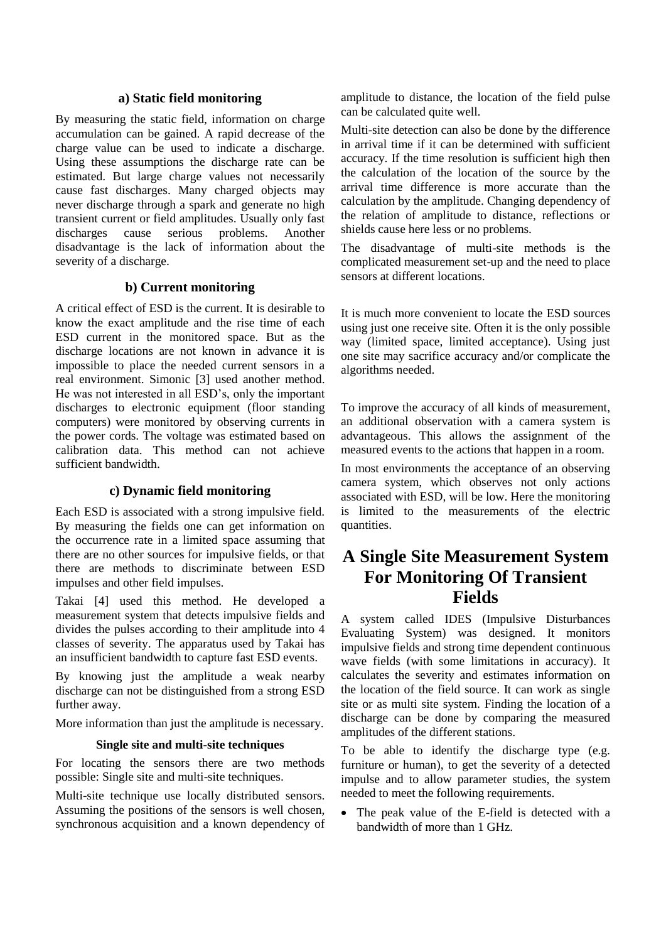#### **a) Static field monitoring**

By measuring the static field, information on charge accumulation can be gained. A rapid decrease of the charge value can be used to indicate a discharge. Using these assumptions the discharge rate can be estimated. But large charge values not necessarily cause fast discharges. Many charged objects may never discharge through a spark and generate no high transient current or field amplitudes. Usually only fast discharges cause serious problems. Another disadvantage is the lack of information about the severity of a discharge.

#### **b) Current monitoring**

A critical effect of ESD is the current. It is desirable to know the exact amplitude and the rise time of each ESD current in the monitored space. But as the discharge locations are not known in advance it is impossible to place the needed current sensors in a real environment. Simonic [3] used another method. He was not interested in all ESD's, only the important discharges to electronic equipment (floor standing computers) were monitored by observing currents in the power cords. The voltage was estimated based on calibration data. This method can not achieve sufficient bandwidth.

#### **c) Dynamic field monitoring**

Each ESD is associated with a strong impulsive field. By measuring the fields one can get information on the occurrence rate in a limited space assuming that there are no other sources for impulsive fields, or that there are methods to discriminate between ESD impulses and other field impulses.

Takai [4] used this method. He developed a measurement system that detects impulsive fields and divides the pulses according to their amplitude into 4 classes of severity. The apparatus used by Takai has an insufficient bandwidth to capture fast ESD events.

By knowing just the amplitude a weak nearby discharge can not be distinguished from a strong ESD further away.

More information than just the amplitude is necessary.

#### **Single site and multi-site techniques**

For locating the sensors there are two methods possible: Single site and multi-site techniques.

Multi-site technique use locally distributed sensors. Assuming the positions of the sensors is well chosen, synchronous acquisition and a known dependency of amplitude to distance, the location of the field pulse can be calculated quite well.

Multi-site detection can also be done by the difference in arrival time if it can be determined with sufficient accuracy. If the time resolution is sufficient high then the calculation of the location of the source by the arrival time difference is more accurate than the calculation by the amplitude. Changing dependency of the relation of amplitude to distance, reflections or shields cause here less or no problems.

The disadvantage of multi-site methods is the complicated measurement set-up and the need to place sensors at different locations.

It is much more convenient to locate the ESD sources using just one receive site. Often it is the only possible way (limited space, limited acceptance). Using just one site may sacrifice accuracy and/or complicate the algorithms needed.

To improve the accuracy of all kinds of measurement, an additional observation with a camera system is advantageous. This allows the assignment of the measured events to the actions that happen in a room.

In most environments the acceptance of an observing camera system, which observes not only actions associated with ESD, will be low. Here the monitoring is limited to the measurements of the electric quantities.

## **A Single Site Measurement System For Monitoring Of Transient Fields**

A system called IDES (Impulsive Disturbances Evaluating System) was designed. It monitors impulsive fields and strong time dependent continuous wave fields (with some limitations in accuracy). It calculates the severity and estimates information on the location of the field source. It can work as single site or as multi site system. Finding the location of a discharge can be done by comparing the measured amplitudes of the different stations.

To be able to identify the discharge type (e.g. furniture or human), to get the severity of a detected impulse and to allow parameter studies, the system needed to meet the following requirements.

 The peak value of the E-field is detected with a bandwidth of more than 1 GHz.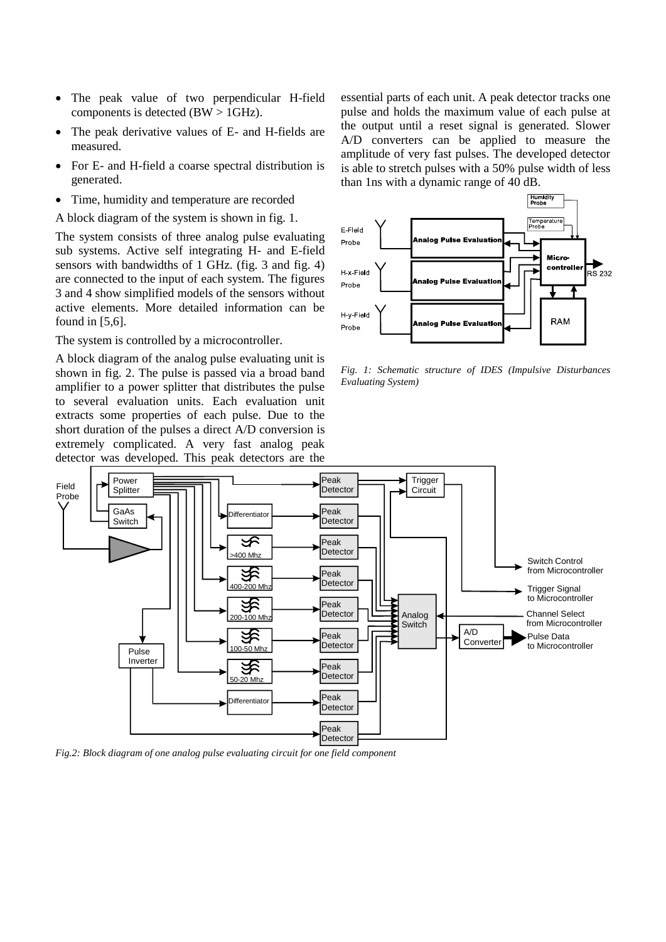- The peak value of two perpendicular H-field components is detected  $(BW > 1GHz)$ .
- The peak derivative values of E- and H-fields are measured.
- For E- and H-field a coarse spectral distribution is generated.
- Time, humidity and temperature are recorded

A block diagram of the system is shown in fig. 1.

The system consists of three analog pulse evaluating sub systems. Active self integrating H- and E-field sensors with bandwidths of 1 GHz. (fig. 3 and fig. 4) are connected to the input of each system. The figures 3 and 4 show simplified models of the sensors without active elements. More detailed information can be found in [5,6].

The system is controlled by a microcontroller.

A block diagram of the analog pulse evaluating unit is shown in fig. 2. The pulse is passed via a broad band amplifier to a power splitter that distributes the pulse to several evaluation units. Each evaluation unit extracts some properties of each pulse. Due to the short duration of the pulses a direct A/D conversion is extremely complicated. A very fast analog peak detector was developed. This peak detectors are the essential parts of each unit. A peak detector tracks one pulse and holds the maximum value of each pulse at the output until a reset signal is generated. Slower A/D converters can be applied to measure the amplitude of very fast pulses. The developed detector is able to stretch pulses with a 50% pulse width of less than 1ns with a dynamic range of 40 dB.



*Fig. 1: Schematic structure of IDES (Impulsive Disturbances Evaluating System)*



*Fig.2: Block diagram of one analog pulse evaluating circuit for one field component*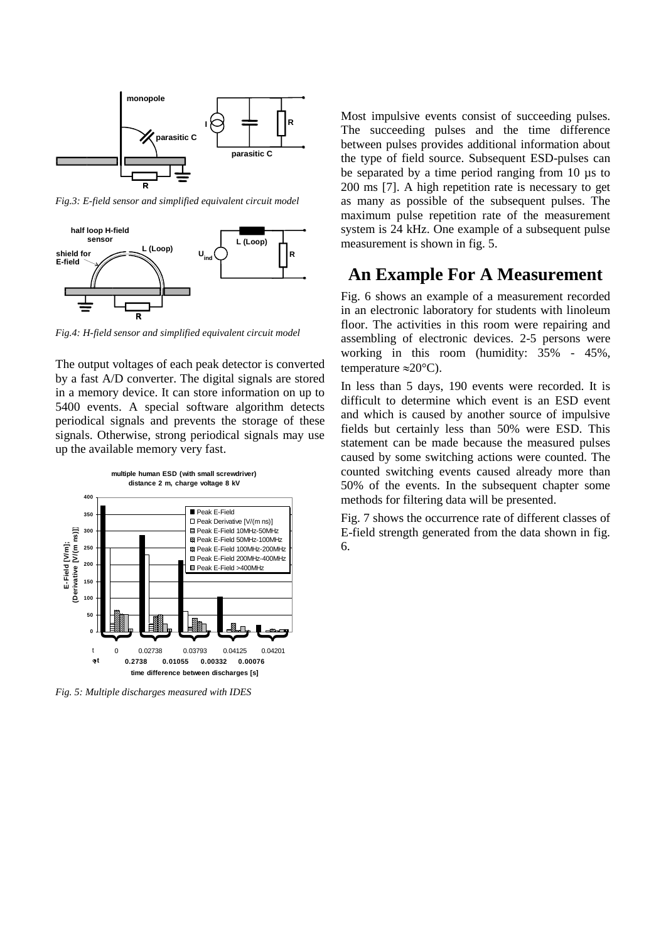

*Fig.3: E-field sensor and simplified equivalent circuit model*



*Fig.4: H-field sensor and simplified equivalent circuit model*

The output voltages of each peak detector is converted by a fast A/D converter. The digital signals are stored in a memory device. It can store information on up to 5400 events. A special software algorithm detects periodical signals and prevents the storage of these signals. Otherwise, strong periodical signals may use up the available memory very fast.



*Fig. 5: Multiple discharges measured with IDES*

Most impulsive events consist of succeeding pulses. The succeeding pulses and the time difference between pulses provides additional information about the type of field source. Subsequent ESD-pulses can be separated by a time period ranging from 10 µs to 200 ms [7]. A high repetition rate is necessary to get as many as possible of the subsequent pulses. The maximum pulse repetition rate of the measurement system is 24 kHz. One example of a subsequent pulse measurement is shown in fig. 5.

### **An Example For A Measurement**

Fig. 6 shows an example of a measurement recorded in an electronic laboratory for students with linoleum floor. The activities in this room were repairing and assembling of electronic devices. 2-5 persons were working in this room (humidity: 35% - 45%, temperature  $\approx 20^{\circ}$ C).

In less than 5 days, 190 events were recorded. It is difficult to determine which event is an ESD event and which is caused by another source of impulsive fields but certainly less than 50% were ESD. This statement can be made because the measured pulses caused by some switching actions were counted. The counted switching events caused already more than 50% of the events. In the subsequent chapter some methods for filtering data will be presented.

Fig. 7 shows the occurrence rate of different classes of E-field strength generated from the data shown in fig. 6.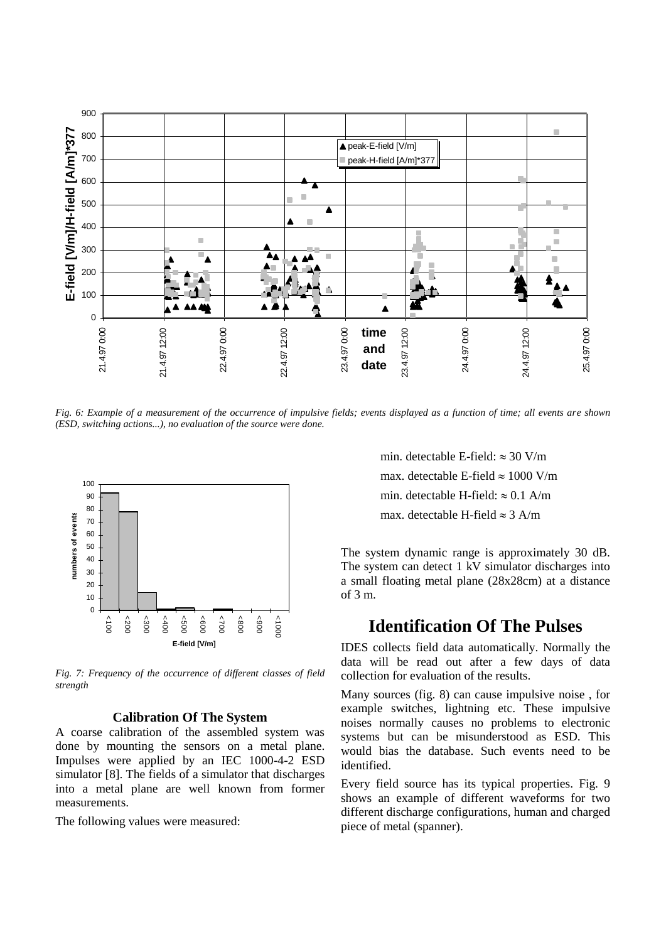

*Fig. 6: Example of a measurement of the occurrence of impulsive fields; events displayed as a function of time; all events are shown (ESD, switching actions...), no evaluation of the source were done.*



*Fig. 7: Frequency of the occurrence of different classes of field strength*

#### **Calibration Of The System**

A coarse calibration of the assembled system was done by mounting the sensors on a metal plane. Impulses were applied by an IEC 1000-4-2 ESD simulator [8]. The fields of a simulator that discharges into a metal plane are well known from former measurements.

The following values were measured:

min. detectable E-field:  $\approx 30$  V/m max. detectable E-field  $\approx 1000$  V/m min. detectable H-field:  $\approx 0.1$  A/m max. detectable H-field  $\approx$  3 A/m

The system dynamic range is approximately 30 dB. The system can detect 1 kV simulator discharges into a small floating metal plane (28x28cm) at a distance of 3 m.

### **Identification Of The Pulses**

IDES collects field data automatically. Normally the data will be read out after a few days of data collection for evaluation of the results.

Many sources (fig. 8) can cause impulsive noise , for example switches, lightning etc. These impulsive noises normally causes no problems to electronic systems but can be misunderstood as ESD. This would bias the database. Such events need to be identified.

Every field source has its typical properties. Fig. 9 shows an example of different waveforms for two different discharge configurations, human and charged piece of metal (spanner).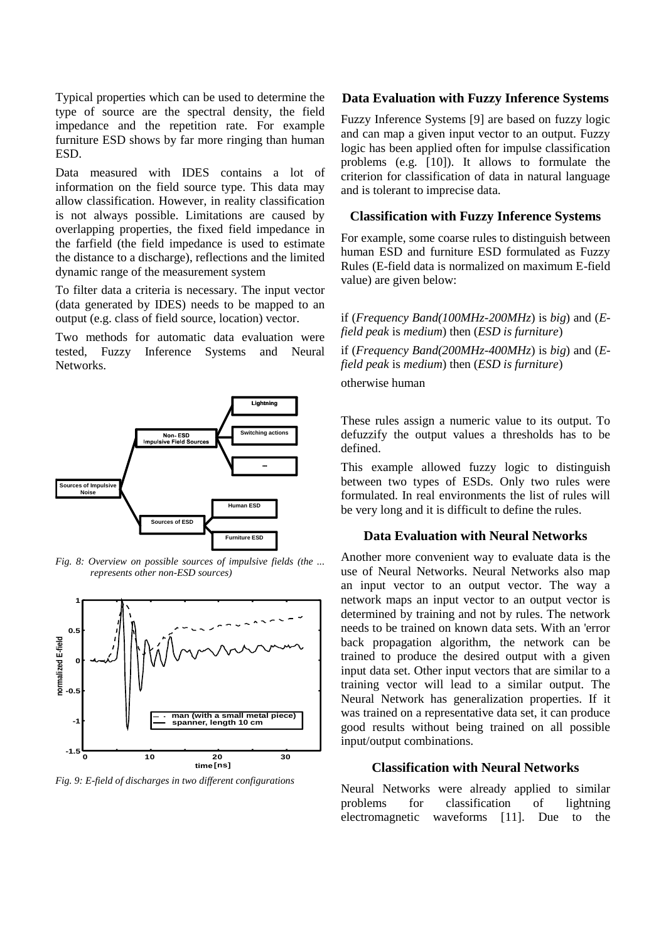Typical properties which can be used to determine the type of source are the spectral density, the field impedance and the repetition rate. For example furniture ESD shows by far more ringing than human ESD.

Data measured with IDES contains a lot of information on the field source type. This data may allow classification. However, in reality classification is not always possible. Limitations are caused by overlapping properties, the fixed field impedance in the farfield (the field impedance is used to estimate the distance to a discharge), reflections and the limited dynamic range of the measurement system

To filter data a criteria is necessary. The input vector (data generated by IDES) needs to be mapped to an output (e.g. class of field source, location) vector.

Two methods for automatic data evaluation were tested, Fuzzy Inference Systems and Neural Networks.



*Fig. 8: Overview on possible sources of impulsive fields (the ... represents other non-ESD sources)*



*Fig. 9: E-field of discharges in two different configurations*

#### **Data Evaluation with Fuzzy Inference Systems**

Fuzzy Inference Systems [9] are based on fuzzy logic and can map a given input vector to an output. Fuzzy logic has been applied often for impulse classification problems (e.g. [10]). It allows to formulate the criterion for classification of data in natural language and is tolerant to imprecise data.

#### **Classification with Fuzzy Inference Systems**

For example, some coarse rules to distinguish between human ESD and furniture ESD formulated as Fuzzy Rules (E-field data is normalized on maximum E-field value) are given below:

#### if (*Frequency Band(100MHz-200MHz*) is *big*) and (*Efield peak* is *medium*) then (*ESD is furniture*)

if (*Frequency Band(200MHz-400MHz*) is *big*) and (*Efield peak* is *medium*) then (*ESD is furniture*)

otherwise human

These rules assign a numeric value to its output. To defuzzify the output values a thresholds has to be defined.

This example allowed fuzzy logic to distinguish between two types of ESDs. Only two rules were formulated. In real environments the list of rules will be very long and it is difficult to define the rules.

#### **Data Evaluation with Neural Networks**

Another more convenient way to evaluate data is the use of Neural Networks. Neural Networks also map an input vector to an output vector. The way a network maps an input vector to an output vector is determined by training and not by rules. The network needs to be trained on known data sets. With an 'error back propagation algorithm, the network can be trained to produce the desired output with a given input data set. Other input vectors that are similar to a training vector will lead to a similar output. The Neural Network has generalization properties. If it was trained on a representative data set, it can produce good results without being trained on all possible input/output combinations.

#### **Classification with Neural Networks**

Neural Networks were already applied to similar problems for classification of lightning electromagnetic waveforms [11]. Due to the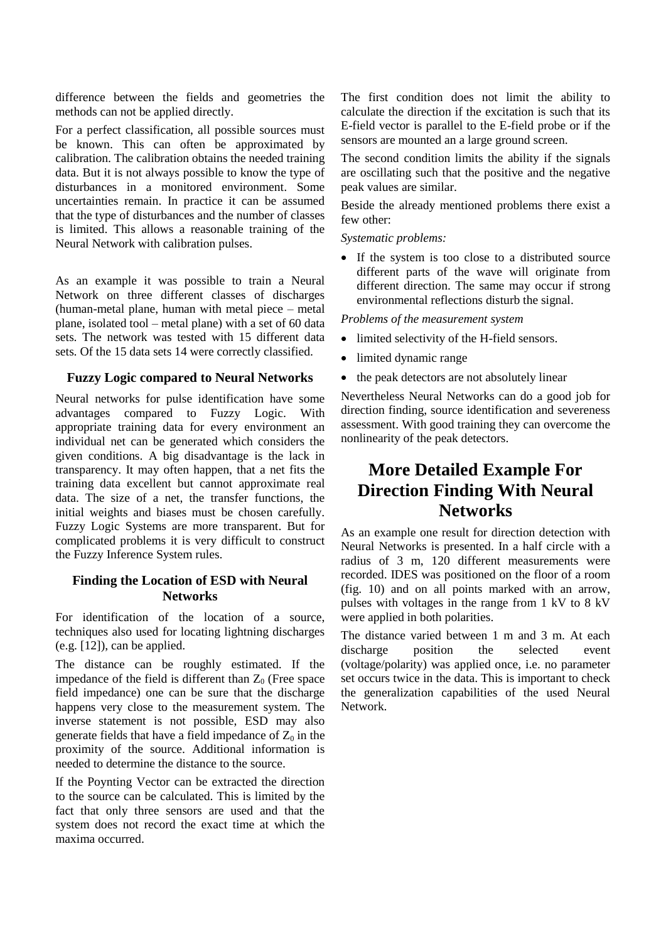difference between the fields and geometries the methods can not be applied directly.

For a perfect classification, all possible sources must be known. This can often be approximated by calibration. The calibration obtains the needed training data. But it is not always possible to know the type of disturbances in a monitored environment. Some uncertainties remain. In practice it can be assumed that the type of disturbances and the number of classes is limited. This allows a reasonable training of the Neural Network with calibration pulses.

As an example it was possible to train a Neural Network on three different classes of discharges (human-metal plane, human with metal piece – metal plane, isolated tool – metal plane) with a set of 60 data sets. The network was tested with 15 different data sets. Of the 15 data sets 14 were correctly classified.

#### **Fuzzy Logic compared to Neural Networks**

Neural networks for pulse identification have some advantages compared to Fuzzy Logic. With appropriate training data for every environment an individual net can be generated which considers the given conditions. A big disadvantage is the lack in transparency. It may often happen, that a net fits the training data excellent but cannot approximate real data. The size of a net, the transfer functions, the initial weights and biases must be chosen carefully. Fuzzy Logic Systems are more transparent. But for complicated problems it is very difficult to construct the Fuzzy Inference System rules.

#### **Finding the Location of ESD with Neural Networks**

For identification of the location of a source, techniques also used for locating lightning discharges (e.g. [12]), can be applied.

The distance can be roughly estimated. If the impedance of the field is different than  $Z_0$  (Free space field impedance) one can be sure that the discharge happens very close to the measurement system. The inverse statement is not possible, ESD may also generate fields that have a field impedance of  $Z_0$  in the proximity of the source. Additional information is needed to determine the distance to the source.

If the Poynting Vector can be extracted the direction to the source can be calculated. This is limited by the fact that only three sensors are used and that the system does not record the exact time at which the maxima occurred.

The first condition does not limit the ability to calculate the direction if the excitation is such that its E-field vector is parallel to the E-field probe or if the sensors are mounted an a large ground screen.

The second condition limits the ability if the signals are oscillating such that the positive and the negative peak values are similar.

Beside the already mentioned problems there exist a few other:

*Systematic problems:*

 If the system is too close to a distributed source different parts of the wave will originate from different direction. The same may occur if strong environmental reflections disturb the signal.

*Problems of the measurement system*

- limited selectivity of the H-field sensors.
- limited dynamic range
- the peak detectors are not absolutely linear

Nevertheless Neural Networks can do a good job for direction finding, source identification and severeness assessment. With good training they can overcome the nonlinearity of the peak detectors.

## **More Detailed Example For Direction Finding With Neural Networks**

As an example one result for direction detection with Neural Networks is presented. In a half circle with a radius of 3 m, 120 different measurements were recorded. IDES was positioned on the floor of a room (fig. 10) and on all points marked with an arrow, pulses with voltages in the range from 1 kV to 8 kV were applied in both polarities.

The distance varied between 1 m and 3 m. At each discharge position the selected event (voltage/polarity) was applied once, i.e. no parameter set occurs twice in the data. This is important to check the generalization capabilities of the used Neural Network.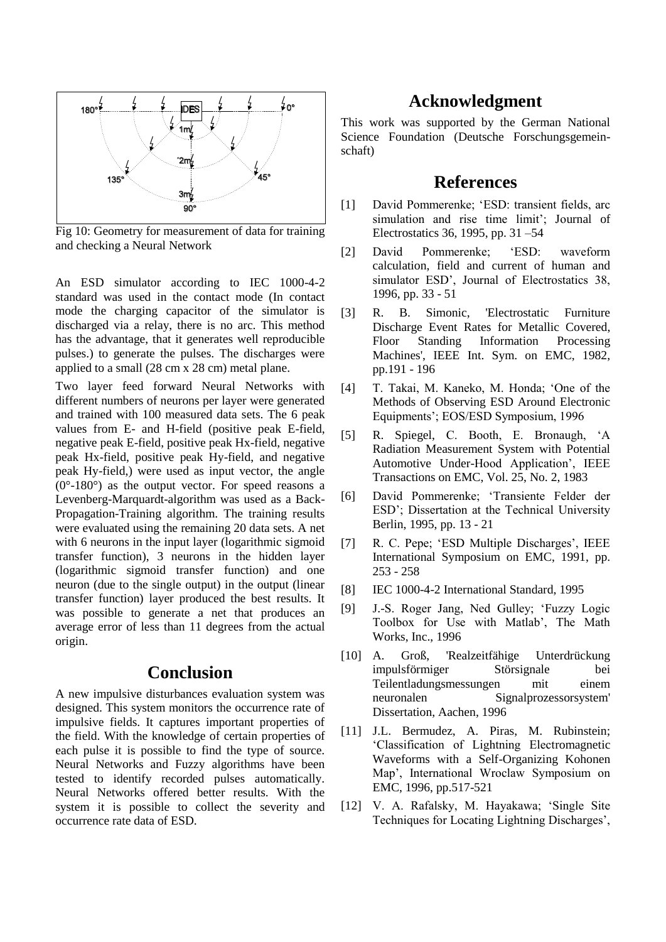

Fig 10: Geometry for measurement of data for training and checking a Neural Network

An ESD simulator according to IEC 1000-4-2 standard was used in the contact mode (In contact mode the charging capacitor of the simulator is discharged via a relay, there is no arc. This method has the advantage, that it generates well reproducible pulses.) to generate the pulses. The discharges were applied to a small (28 cm x 28 cm) metal plane.

Two layer feed forward Neural Networks with different numbers of neurons per layer were generated and trained with 100 measured data sets. The 6 peak values from E- and H-field (positive peak E-field, negative peak E-field, positive peak Hx-field, negative peak Hx-field, positive peak Hy-field, and negative peak Hy-field,) were used as input vector, the angle  $(0^{\circ}$ -180 $^{\circ}$ ) as the output vector. For speed reasons a Levenberg-Marquardt-algorithm was used as a Back-Propagation-Training algorithm. The training results were evaluated using the remaining 20 data sets. A net with 6 neurons in the input layer (logarithmic sigmoid transfer function), 3 neurons in the hidden layer (logarithmic sigmoid transfer function) and one neuron (due to the single output) in the output (linear transfer function) layer produced the best results. It was possible to generate a net that produces an average error of less than 11 degrees from the actual origin.

## **Conclusion**

A new impulsive disturbances evaluation system was designed. This system monitors the occurrence rate of impulsive fields. It captures important properties of the field. With the knowledge of certain properties of each pulse it is possible to find the type of source. Neural Networks and Fuzzy algorithms have been tested to identify recorded pulses automatically. Neural Networks offered better results. With the system it is possible to collect the severity and occurrence rate data of ESD.

## **Acknowledgment**

This work was supported by the German National Science Foundation (Deutsche Forschungsgemeinschaft)

### **References**

- [1] David Pommerenke; 'ESD: transient fields, arc simulation and rise time limit'; Journal of Electrostatics 36, 1995, pp. 31 –54
- [2] David Pommerenke; 'ESD: waveform calculation, field and current of human and simulator ESD', Journal of Electrostatics 38, 1996, pp. 33 - 51
- [3] R. B. Simonic, 'Electrostatic Furniture Discharge Event Rates for Metallic Covered, Floor Standing Information Processing Machines', IEEE Int. Sym. on EMC, 1982, pp.191 - 196
- [4] T. Takai, M. Kaneko, M. Honda; 'One of the Methods of Observing ESD Around Electronic Equipments'; EOS/ESD Symposium, 1996
- [5] R. Spiegel, C. Booth, E. Bronaugh, 'A Radiation Measurement System with Potential Automotive Under-Hood Application', IEEE Transactions on EMC, Vol. 25, No. 2, 1983
- [6] David Pommerenke; 'Transiente Felder der ESD'; Dissertation at the Technical University Berlin, 1995, pp. 13 - 21
- [7] R. C. Pepe; 'ESD Multiple Discharges', IEEE International Symposium on EMC, 1991, pp. 253 - 258
- [8] IEC 1000-4-2 International Standard, 1995
- [9] J.-S. Roger Jang, Ned Gulley; 'Fuzzy Logic Toolbox for Use with Matlab', The Math Works, Inc., 1996
- [10] A. Groß, 'Realzeitfähige Unterdrückung impulsförmiger Störsignale bei Teilentladungsmessungen mit einem neuronalen Signalprozessorsystem' Dissertation, Aachen, 1996
- [11] J.L. Bermudez, A. Piras, M. Rubinstein; 'Classification of Lightning Electromagnetic Waveforms with a Self-Organizing Kohonen Map', International Wroclaw Symposium on EMC, 1996, pp.517-521
- [12] V. A. Rafalsky, M. Hayakawa; 'Single Site Techniques for Locating Lightning Discharges',